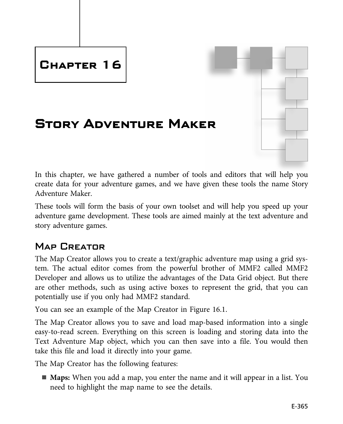# **Chapter 16**

# **Story Adventure Maker**

In this chapter, we have gathered a number of tools and editors that will help you create data for your adventure games, and we have given these tools the name Story Adventure Maker.

These tools will form the basis of your own toolset and will help you speed up your adventure game development. These tools are aimed mainly at the text adventure and story adventure games.

## Map Creator

The Map Creator allows you to create a text/graphic adventure map using a grid system. The actual editor comes from the powerful brother of MMF2 called MMF2 Developer and allows us to utilize the advantages of the Data Grid object. But there are other methods, such as using active boxes to represent the grid, that you can potentially use if you only had MMF2 standard.

You can see an example of the Map Creator in Figure 16.1.

The Map Creator allows you to save and load map-based information into a single easy-to-read screen. Everything on this screen is loading and storing data into the Text Adventure Map object, which you can then save into a file. You would then take this file and load it directly into your game.

The Map Creator has the following features:

■ **Maps:** When you add a map, you enter the name and it will appear in a list. You need to highlight the map name to see the details.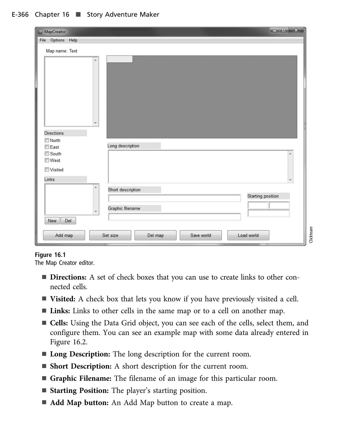#### E-366 Chapter 16 ■ Story Adventure Maker

| $\overline{\mathbf{x}}$<br>ر و آرها<br><b>6</b> MapCreator |           |
|------------------------------------------------------------|-----------|
| File Options Help                                          |           |
| Map name: Text                                             |           |
|                                                            |           |
|                                                            |           |
| <b>Directions</b><br>North                                 |           |
| Long description<br>$\square$ East                         |           |
| South                                                      |           |
| <b>■West</b>                                               |           |
| Visited                                                    |           |
| Links                                                      |           |
| Á<br>Short description                                     |           |
| Starting position                                          |           |
|                                                            |           |
| Graphic filename                                           |           |
| Del<br>New                                                 |           |
| Load world<br>Add map<br>Set size<br>Save world<br>Del map | Clickteam |

**Figure 16.1** The Map Creator editor.

- **Directions:** A set of check boxes that you can use to create links to other connected cells.
- **Visited:** A check box that lets you know if you have previously visited a cell.
- **Links:** Links to other cells in the same map or to a cell on another map.
- **Cells:** Using the Data Grid object, you can see each of the cells, select them, and configure them. You can see an example map with some data already entered in Figure 16.2.
- Long Description: The long description for the current room.
- **Short Description:** A short description for the current room.
- n **Graphic Filename:** The filename of an image for this particular room.
- **Starting Position:** The player's starting position.
- **Add Map button:** An Add Map button to create a map.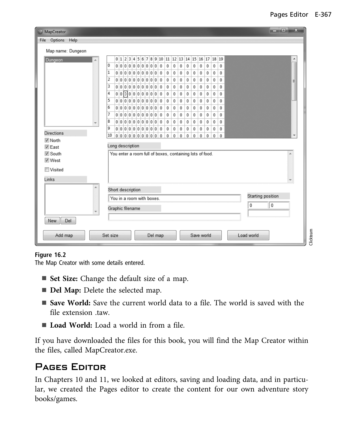| <b>3</b> MapCreator                                                     |                                                                                                              | $\overline{\mathbf{x}}$<br>الهارور |  |  |
|-------------------------------------------------------------------------|--------------------------------------------------------------------------------------------------------------|------------------------------------|--|--|
| File Options Help                                                       |                                                                                                              |                                    |  |  |
| Map name: Dungeon                                                       |                                                                                                              |                                    |  |  |
| Dungeon                                                                 | $0 1 2 3 4 5 6 7 8 9 10 11 12 13 14 15 16 17 18 19$                                                          |                                    |  |  |
|                                                                         | 0<br> 0 0 0 0 0 0 0 0 0 0 0 <br>0<br>$\mathbf 0$<br>0<br>0<br>0<br>0<br>0<br>0<br>0                          |                                    |  |  |
|                                                                         | 1<br>0<br>0<br>$\mathbf 0$<br>0<br>0<br>0 0 0 0 0 0 0 0 0 0 <br>0<br>0<br>0<br>0<br>0                        |                                    |  |  |
|                                                                         | 2<br>0 0 0 0 0 0 0 0 0 0 0 0 <br>0<br>0<br>0<br>0<br>0<br>0<br>0<br>0<br>0                                   | Ξ                                  |  |  |
|                                                                         | 3<br> 0 0 0 0 0 0 0 0 0 0 0 <br>0<br>0<br>0<br>0<br>0<br>0<br>0<br>0<br>0                                    |                                    |  |  |
|                                                                         | 0 0 0 0 0 0 0 0 0 0<br>4<br>$\mathbf{0}$<br>0<br>0<br>0<br>0<br>0<br>0<br>0<br>0<br>0                        |                                    |  |  |
|                                                                         | 5<br>0 0 0 0 0 0 0 0 0 0 0<br>0<br>0<br>0<br>0<br>0<br>$\mathbf 0$<br>0<br>0<br>0                            |                                    |  |  |
|                                                                         | 6<br>0 0 0 0 0 0 0 0 0 0 <br>0<br>0<br>0<br>0<br>0<br>$\mathbf 0$<br>0<br>$\mathbf 0$<br>0<br>$\overline{0}$ |                                    |  |  |
|                                                                         | 7<br>0 0 0 0 0 0 0 0 0 0 0<br>$\pmb{0}$<br>0<br>$\bf{0}$<br>0<br>0<br>0<br>0<br>$\mathbf 0$<br>$\mathbf{0}$  |                                    |  |  |
|                                                                         | 8<br> 0 0 0 0 0 0 0 0 0 0 0 <br>0<br>0<br>0<br>0<br>0<br>0<br>0<br>$\mathbf 0$<br>0                          |                                    |  |  |
|                                                                         | 9<br> 0 0 0 0 0 0 0 0 0 0 0 <br>0<br>0<br>0<br>0<br>0<br>0<br>0<br>0<br>0                                    |                                    |  |  |
| <b>Directions</b>                                                       | 10<br> 0 0 0 0 0 0 0 0 0 0 0 <br>$\mathbf 0$<br>0<br>0<br>$\mathbf 0$<br>0<br>0<br>0<br>0<br>0               |                                    |  |  |
| <b>▽</b> North                                                          | Long description                                                                                             |                                    |  |  |
| $\nabla$ East                                                           |                                                                                                              |                                    |  |  |
| <b>☑</b> South<br><b>√</b> West                                         | You enter a room full of boxes, containing lots of food.                                                     |                                    |  |  |
|                                                                         |                                                                                                              |                                    |  |  |
| <b>■</b> Visited                                                        |                                                                                                              |                                    |  |  |
| Links                                                                   |                                                                                                              |                                    |  |  |
| À.                                                                      |                                                                                                              |                                    |  |  |
|                                                                         | Short description                                                                                            | Starting position                  |  |  |
|                                                                         | You in a room with boxes.                                                                                    |                                    |  |  |
|                                                                         | 0<br>Graphic filename                                                                                        | $\pmb{0}$                          |  |  |
|                                                                         |                                                                                                              |                                    |  |  |
| Del<br>New                                                              |                                                                                                              |                                    |  |  |
| Clickteam<br>Save world<br>Load world<br>Add map<br>Set size<br>Del map |                                                                                                              |                                    |  |  |

**Figure 16.2** The Map Creator with some details entered.

- **Set Size:** Change the default size of a map.
- **Del Map:** Delete the selected map.
- Save World: Save the current world data to a file. The world is saved with the file extension .taw.
- **Load World:** Load a world in from a file.

If you have downloaded the files for this book, you will find the Map Creator within the files, called MapCreator.exe.

### Pages Editor

In Chapters 10 and 11, we looked at editors, saving and loading data, and in particular, we created the Pages editor to create the content for our own adventure story books/games.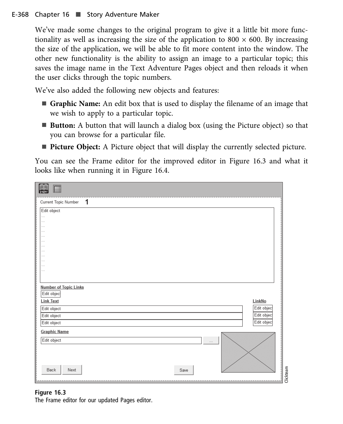We've made some changes to the original program to give it a little bit more functionality as well as increasing the size of the application to 800  $\times$  600. By increasing the size of the application, we will be able to fit more content into the window. The other new functionality is the ability to assign an image to a particular topic; this saves the image name in the Text Adventure Pages object and then reloads it when the user clicks through the topic numbers.

We've also added the following new objects and features:

- **n Graphic Name:** An edit box that is used to display the filename of an image that we wish to apply to a particular topic.
- **Button:** A button that will launch a dialog box (using the Picture object) so that you can browse for a particular file.
- **Picture Object:** A Picture object that will display the currently selected picture.

You can see the Frame editor for the improved editor in Figure 16.3 and what it looks like when running it in Figure 16.4.

| 1<br>$\sim$ $\sim$ $\sim$<br><b>Number of Topic Links</b><br>Edit object<br><b>Link Text</b><br>LinkNo<br>Edit object<br>Edit object<br>Edit object<br><b>Graphic Name</b><br>Edit object<br>$\cdots$<br>į<br>Back<br>Next<br>Save | <b>A</b>             |           |
|------------------------------------------------------------------------------------------------------------------------------------------------------------------------------------------------------------------------------------|----------------------|-----------|
|                                                                                                                                                                                                                                    | Current Topic Number |           |
|                                                                                                                                                                                                                                    | Edit object          |           |
|                                                                                                                                                                                                                                    | $\ldots$             |           |
|                                                                                                                                                                                                                                    | $\cdots$             |           |
|                                                                                                                                                                                                                                    | $\cdots$             |           |
|                                                                                                                                                                                                                                    | $\cdots$             |           |
|                                                                                                                                                                                                                                    | $\cdots$             |           |
|                                                                                                                                                                                                                                    | $\cdots$             |           |
|                                                                                                                                                                                                                                    | $\cdots$             |           |
|                                                                                                                                                                                                                                    | $\cdots$             |           |
|                                                                                                                                                                                                                                    | $\cdots$             |           |
|                                                                                                                                                                                                                                    | $\cdots$             |           |
|                                                                                                                                                                                                                                    | $\cdots$             |           |
|                                                                                                                                                                                                                                    |                      |           |
|                                                                                                                                                                                                                                    |                      |           |
|                                                                                                                                                                                                                                    |                      |           |
|                                                                                                                                                                                                                                    |                      |           |
|                                                                                                                                                                                                                                    |                      |           |
|                                                                                                                                                                                                                                    | Edit object          |           |
|                                                                                                                                                                                                                                    | Edit object          |           |
|                                                                                                                                                                                                                                    | Edit object          |           |
|                                                                                                                                                                                                                                    |                      |           |
|                                                                                                                                                                                                                                    |                      |           |
|                                                                                                                                                                                                                                    |                      |           |
|                                                                                                                                                                                                                                    |                      |           |
|                                                                                                                                                                                                                                    |                      |           |
|                                                                                                                                                                                                                                    |                      |           |
|                                                                                                                                                                                                                                    |                      |           |
|                                                                                                                                                                                                                                    |                      |           |
|                                                                                                                                                                                                                                    |                      | Clickteam |

The Frame editor for our updated Pages editor.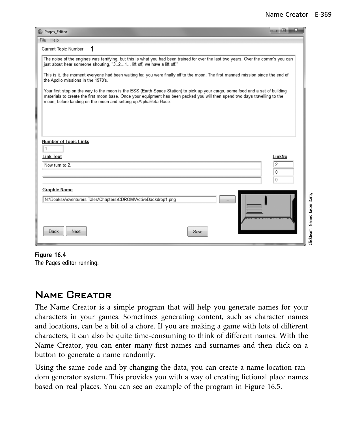| <sup>3</sup> Pages_Editor                                                                                                                                                                                                                                                                                                        | $\mathbf{x}$<br>o.<br><b>IDENT</b> |
|----------------------------------------------------------------------------------------------------------------------------------------------------------------------------------------------------------------------------------------------------------------------------------------------------------------------------------|------------------------------------|
| File Help                                                                                                                                                                                                                                                                                                                        |                                    |
| Current Topic Number<br>1                                                                                                                                                                                                                                                                                                        |                                    |
| The noise of the engines was terrifying, but this is what you had been trained for over the last two years. Over the comm's you can<br>just about hear someone shouting, "321 lift off, we have a lift off."                                                                                                                     |                                    |
| This is it, the moment everyone had been waiting for, you were finally off to the moon. The first manned mission since the end of<br>the Apollo missions in the 1970's.                                                                                                                                                          |                                    |
| Your first stop on the way to the moon is the ESS (Earth Space Station) to pick up your cargo, some food and a set of building<br>materials to create the first moon base. Once your equipment has been packed you will then spend two days travelling to the<br>moon, before landing on the moon and setting up AlphaBeta Base. |                                    |
|                                                                                                                                                                                                                                                                                                                                  |                                    |
| <b>Number of Topic Links</b><br>1                                                                                                                                                                                                                                                                                                |                                    |
| <b>Link Text</b>                                                                                                                                                                                                                                                                                                                 | LinkNo                             |
| Now turn to 2.                                                                                                                                                                                                                                                                                                                   | 2<br>0<br>0                        |
| <b>Graphic Name</b>                                                                                                                                                                                                                                                                                                              |                                    |
| N:\Books\Adventurers Tales\Chapters\CDROM\ActiveBackdrop1.png                                                                                                                                                                                                                                                                    | Clickteam. Game: Jason Darby       |
| <b>Back</b><br>Next<br>Save                                                                                                                                                                                                                                                                                                      |                                    |

**Figure 16.4** The Pages editor running.

### Name Creator

The Name Creator is a simple program that will help you generate names for your characters in your games. Sometimes generating content, such as character names and locations, can be a bit of a chore. If you are making a game with lots of different characters, it can also be quite time-consuming to think of different names. With the Name Creator, you can enter many first names and surnames and then click on a button to generate a name randomly.

Using the same code and by changing the data, you can create a name location random generator system. This provides you with a way of creating fictional place names based on real places. You can see an example of the program in Figure 16.5.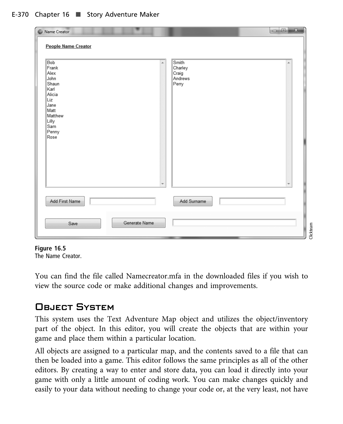| Name Creator                                                                                                                             | $\mathbf x$<br>$\vert$ e $\vert$                      |
|------------------------------------------------------------------------------------------------------------------------------------------|-------------------------------------------------------|
| People Name Creator                                                                                                                      |                                                       |
| Bob<br>×.<br>$\Vert$ Frank<br>Alex<br>John<br>Shaun<br>Karl<br>Alicia<br>Liz<br>Jane<br>Matt<br>Matthew<br>Lilly<br>Sam<br>Penny<br>Rose | Smith<br>×.<br>Charley<br>│Craig<br>│Andrews<br>Perry |
| Add First Name                                                                                                                           | Add Surname                                           |
| Generate Name<br>Save                                                                                                                    | Clickteam                                             |

**Figure 16.5** The Name Creator.

You can find the file called Namecreator.mfa in the downloaded files if you wish to view the source code or make additional changes and improvements.

## OBJECT SYSTEM

This system uses the Text Adventure Map object and utilizes the object/inventory part of the object. In this editor, you will create the objects that are within your game and place them within a particular location.

All objects are assigned to a particular map, and the contents saved to a file that can then be loaded into a game. This editor follows the same principles as all of the other editors. By creating a way to enter and store data, you can load it directly into your game with only a little amount of coding work. You can make changes quickly and easily to your data without needing to change your code or, at the very least, not have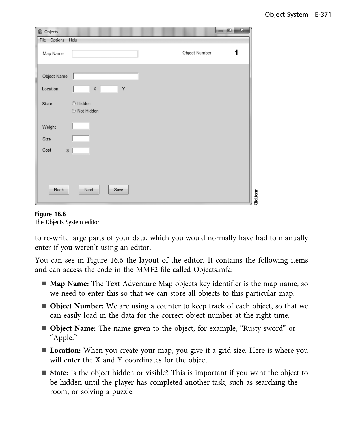| <b>Objects</b>          |                          |               |           |
|-------------------------|--------------------------|---------------|-----------|
| File Options            | Help                     |               |           |
| Map Name                |                          | Object Number | 1         |
| Object Name<br>Location | $\mathsf X$<br>Υ<br>L    |               |           |
| State                   | ◎ Hidden<br>◎ Not Hidden |               |           |
| Weight                  |                          |               |           |
| Size                    |                          |               |           |
| Cost                    | S                        |               |           |
|                         |                          |               |           |
|                         |                          |               |           |
| Back                    | Next<br>Save             |               | Clickteam |
|                         |                          |               |           |

# **Figure 16.6** The Objects System editor

to re-write large parts of your data, which you would normally have had to manually enter if you weren't using an editor.

You can see in Figure 16.6 the layout of the editor. It contains the following items and can access the code in the MMF2 file called Objects.mfa:

- **Map Name:** The Text Adventure Map objects key identifier is the map name, so we need to enter this so that we can store all objects to this particular map.
- **Object Number:** We are using a counter to keep track of each object, so that we can easily load in the data for the correct object number at the right time.
- <sup>n</sup> **Object Name:** The name given to the object, for example, "Rusty sword" or "Apple."
- **Location:** When you create your map, you give it a grid size. Here is where you will enter the X and Y coordinates for the object.
- **State:** Is the object hidden or visible? This is important if you want the object to be hidden until the player has completed another task, such as searching the room, or solving a puzzle.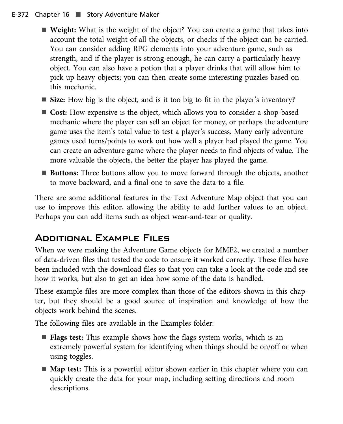#### E-372 Chapter 16 ■ Story Adventure Maker

- Weight: What is the weight of the object? You can create a game that takes into account the total weight of all the objects, or checks if the object can be carried. You can consider adding RPG elements into your adventure game, such as strength, and if the player is strong enough, he can carry a particularly heavy object. You can also have a potion that a player drinks that will allow him to pick up heavy objects; you can then create some interesting puzzles based on this mechanic.
- **Size:** How big is the object, and is it too big to fit in the player's inventory?
- **Cost:** How expensive is the object, which allows you to consider a shop-based mechanic where the player can sell an object for money, or perhaps the adventure game uses the item's total value to test a player's success. Many early adventure games used turns/points to work out how well a player had played the game. You can create an adventure game where the player needs to find objects of value. The more valuable the objects, the better the player has played the game.
- **Buttons:** Three buttons allow you to move forward through the objects, another to move backward, and a final one to save the data to a file.

There are some additional features in the Text Adventure Map object that you can use to improve this editor, allowing the ability to add further values to an object. Perhaps you can add items such as object wear-and-tear or quality.

## Additional Example Files

When we were making the Adventure Game objects for MMF2, we created a number of data-driven files that tested the code to ensure it worked correctly. These files have been included with the download files so that you can take a look at the code and see how it works, but also to get an idea how some of the data is handled.

These example files are more complex than those of the editors shown in this chapter, but they should be a good source of inspiration and knowledge of how the objects work behind the scenes.

The following files are available in the Examples folder:

- **Flags test:** This example shows how the flags system works, which is an extremely powerful system for identifying when things should be on/off or when using toggles.
- **Map test:** This is a powerful editor shown earlier in this chapter where you can quickly create the data for your map, including setting directions and room descriptions.